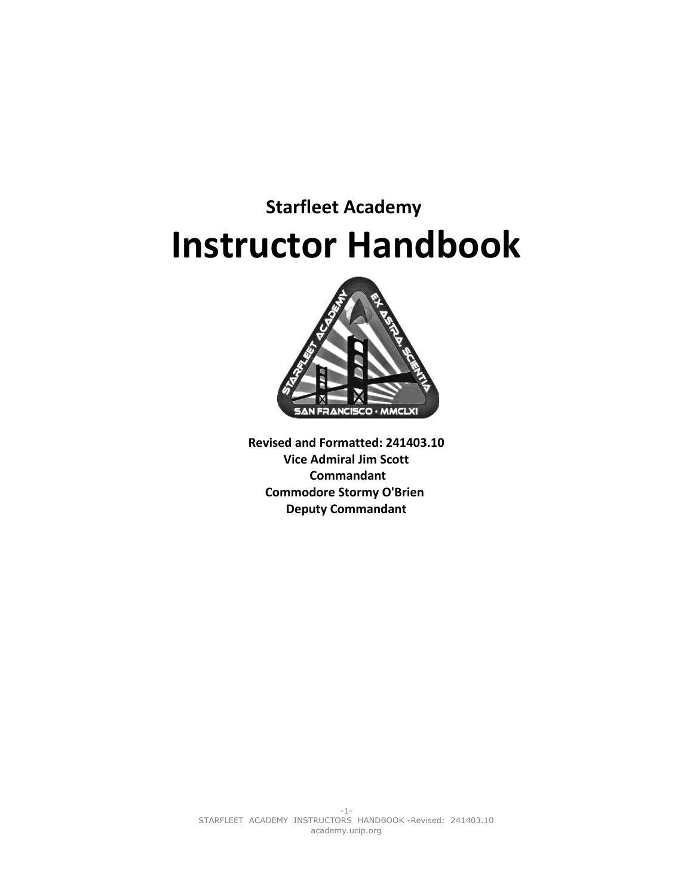# **Starfleet Academy Instructor Handbook**



**Revised and Formatted: 241403.10 Vice Admiral Jim Scott Commandant Commodore Stormy O'Brien Deputy Commandant**

-1- STARFLEET ACADEMY INSTRUCTORS HANDBOOK -Revised: 241403.10 academy.ucip.org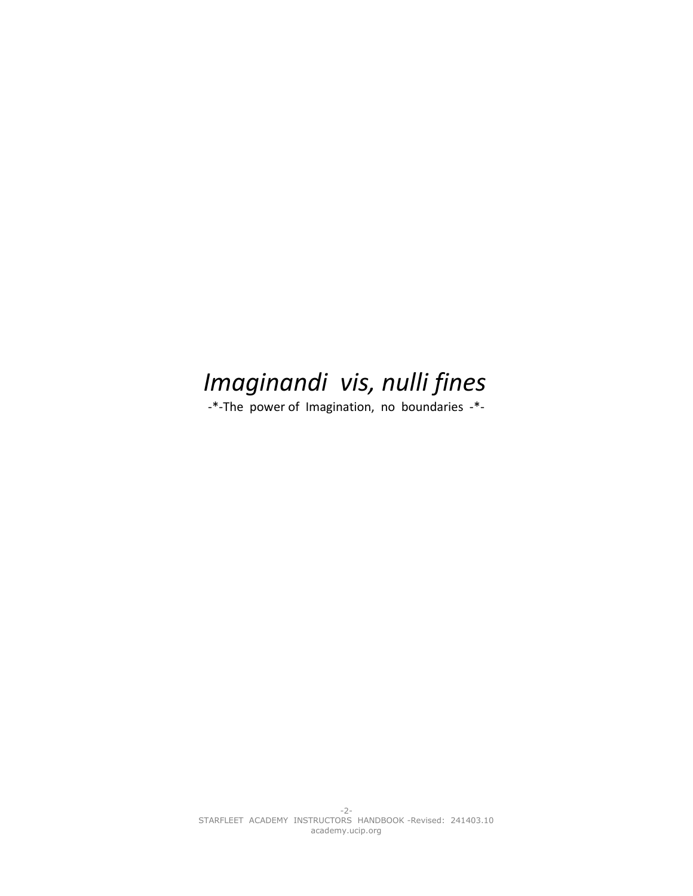## *Imaginandi vis, nulli fines*

-\*-The power of Imagination, no boundaries -\*-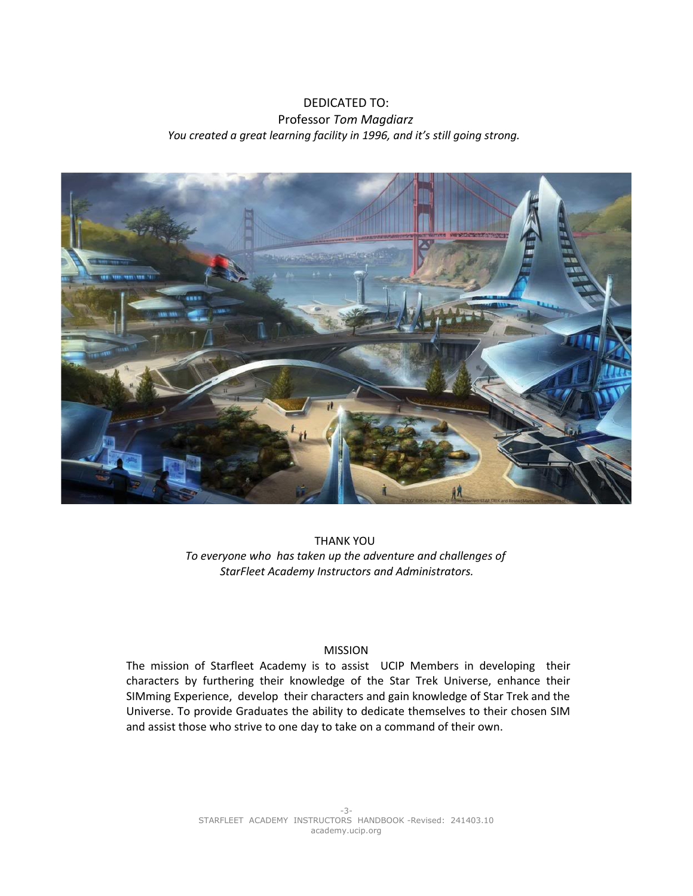## DEDICATED TO: Professor *Tom Magdiarz You created a great learning facility in 1996, and it's still going strong.*



THANK YOU *To everyone who has taken up the adventure and challenges of StarFleet Academy Instructors and Administrators.*

## MISSION

The mission of Starfleet Academy is to assist UCIP Members in developing their characters by furthering their knowledge of the Star Trek Universe, enhance their SIMming Experience, develop their characters and gain knowledge of Star Trek and the Universe. To provide Graduates the ability to dedicate themselves to their chosen SIM and assist those who strive to one day to take on a command of their own.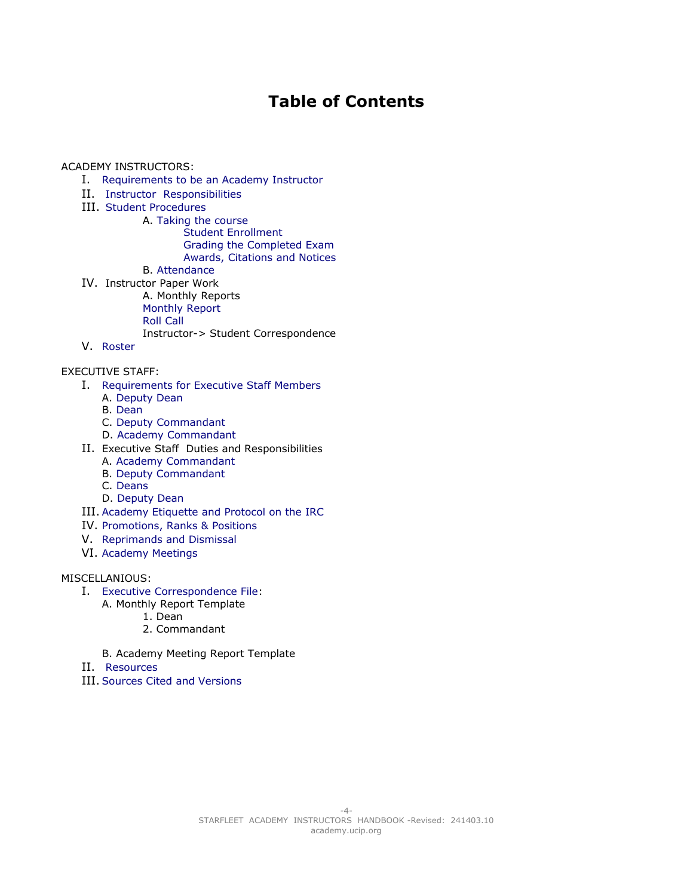## <span id="page-3-1"></span><span id="page-3-0"></span>**Table of Contents**

<span id="page-3-2"></span>ACADEMY INSTRUCTORS:

- I. [Requirements to be an Academy Instructor](#page-4-0)
- II. [Instructor Responsibilities](#page-4-1)
- III. [Student Procedures](#page-3-1)
	- A. [Taking the course](#page-3-0) [Student Enrollment](#page-5-1) [Grading the Completed Exam](#page-5-0)
		- [Awards, Citations and Notices](#page-6-3)
	- B. [Attendance](#page-6-2)
- IV. Instructor Paper Work
	- A. Monthly Reports
	- [Monthly Report](#page-6-0)
	- [Roll Call](#page-6-1)
	- [Instructor-> Student Correspondence](#page-7-0)
- V. [Roster](#page-8-0)

EXECUTIVE STAFF:

- I. [Requirements for Executive Staff Members](#page-9-3)
	- A. [Deputy Dean](#page-9-0)
		- B. [Dean](#page-9-1)
	- C. [Deputy Commandant](#page-9-2)
	- D. [Academy Commandant](#page-10-0)
- II. Executive Staff Duties and Responsibilities
	- A. [Academy Commandant](#page-10-1)
	- B. [Deputy Commandant](#page-10-2)
	- C. [Deans](#page-11-0)
	- D. [Deputy Dean](#page-11-1)
- III. [Academy Etiquette and Protocol on the IRC](#page-13-0)
- IV. [Promotions, Ranks & Positions](#page-12-2)
- V. [Reprimands and Dismissal](#page-12-1)
- VI. [Academy Meetings](#page-12-0)

## MISCELLANIOUS:

- I. [Executive Correspondence File:](#page-14-0)
	- A. Monthly Report Template
		- 1. Dean
		- 2. Commandant
	- B. Academy Meeting Report Template
- II. [Resources](#page-14-1)
- III. [Sources Cited and Versions](#page-14-2)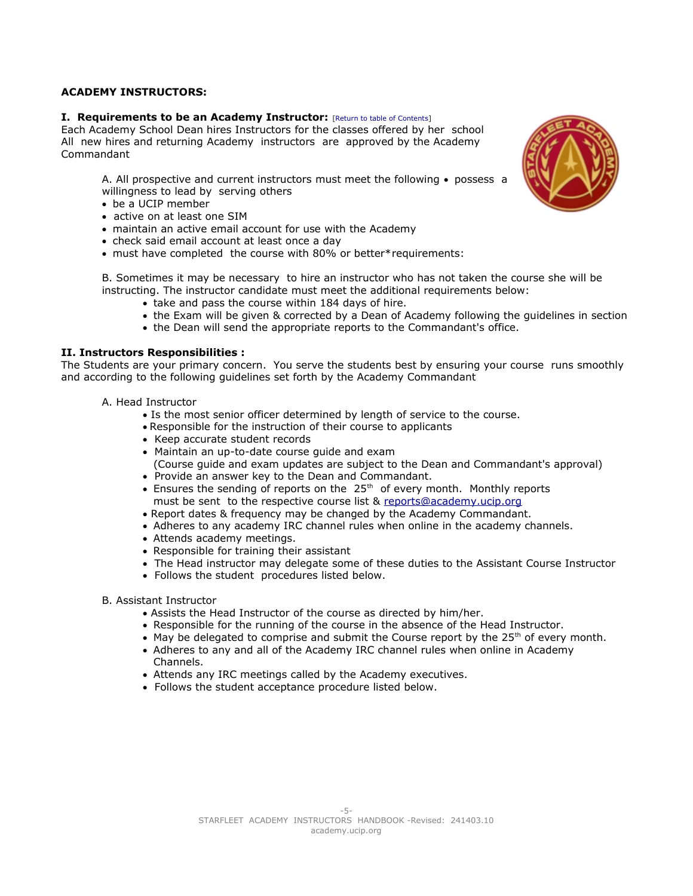## **ACADEMY INSTRUCTORS:**

## <span id="page-4-0"></span>**I. Requirements to be an Academy Instructor:** [\[Return to table of Contents\]](#page-3-2)

Each Academy School Dean hires Instructors for the classes offered by her school All new hires and returning Academy instructors are approved by the Academy Commandant

A. All prospective and current instructors must meet the following • possess a willingness to lead by serving others

- be a UCIP member
- active on at least one SIM
- maintain an active email account for use with the Academy
- check said email account at least once a day
- must have completed the course with 80% or better\*requirements:

B. Sometimes it may be necessary to hire an instructor who has not taken the course she will be instructing. The instructor candidate must meet the additional requirements below:

- take and pass the course within 184 days of hire.
- the Exam will be given & corrected by a Dean of Academy following the guidelines in section
- <span id="page-4-1"></span>the Dean will send the appropriate reports to the Commandant's office.

## **II. Instructors Responsibilities :**

The Students are your primary concern. You serve the students best by ensuring your course runs smoothly and according to the following guidelines set forth by the Academy Commandant

- A. Head Instructor
	- Is the most senior officer determined by length of service to the course.
	- Responsible for the instruction of their course to applicants
	- Keep accurate student records
	- Maintain an up-to-date course guide and exam
	- (Course guide and exam updates are subject to the Dean and Commandant's approval)
	- Provide an answer key to the Dean and Commandant.
	- **Ensures the sending of reports on the 25<sup>th</sup> of every month. Monthly reports** must be sent to the respective course list & [reports@academy.ucip.org](mailto:reports@academy.ucip.org)
	- Report dates & frequency may be changed by the Academy Commandant.
	- Adheres to any academy IRC channel rules when online in the academy channels.
	- Attends academy meetings.
	- Responsible for training their assistant
	- The Head instructor may delegate some of these duties to the Assistant Course Instructor
	- Follows the student procedures listed below.
- B. Assistant Instructor
	- Assists the Head Instructor of the course as directed by him/her.
	- Responsible for the running of the course in the absence of the Head Instructor.
	- $\bullet$  May be delegated to comprise and submit the Course report by the 25<sup>th</sup> of every month.
	- Adheres to any and all of the Academy IRC channel rules when online in Academy Channels.
	- Attends any IRC meetings called by the Academy executives.
	- Follows the student acceptance procedure listed below.

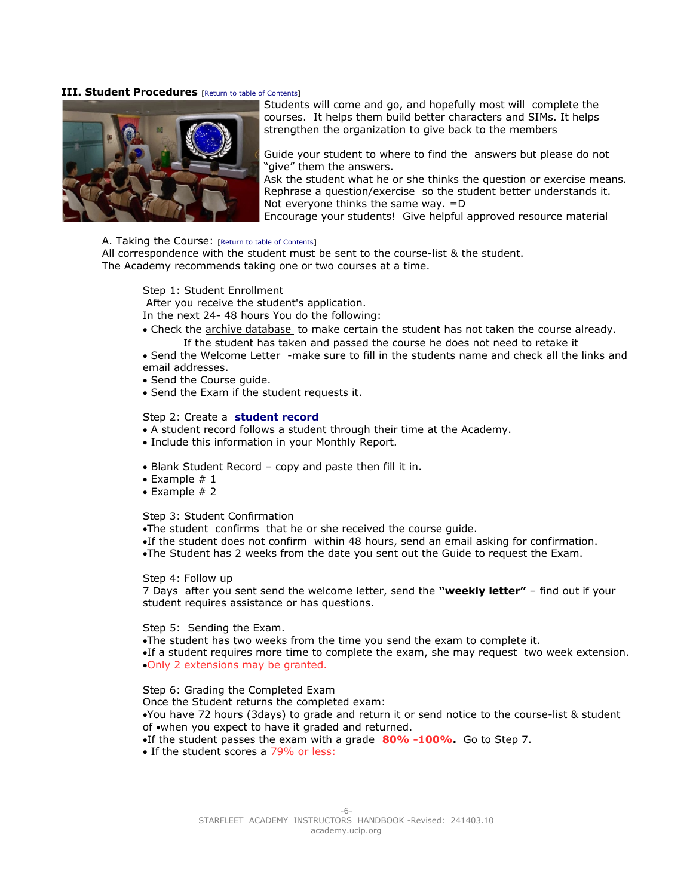## **III. Student Procedures** [\[Return to table of Contents\]](#page-3-2)



Students will come and go, and hopefully most will complete the courses. It helps them build better characters and SIMs. It helps strengthen the organization to give back to the members

Guide your student to where to find the answers but please do not "give" them the answers.

Ask the student what he or she thinks the question or exercise means. Rephrase a question/exercise so the student better understands it. Not everyone thinks the same way. =D Encourage your students! Give helpful approved resource material

## A. Taking the Course: [\[Return to table of Contents\]](#page-3-2)

All correspondence with the student must be sent to the course-list & the student. The Academy recommends taking one or two courses at a time.

<span id="page-5-1"></span>Step 1: Student Enrollment

After you receive the student's application.

In the next 24- 48 hours You do the following:

- Check the [archive database](http://archive.ucip.org/) to make certain the student has not taken the course already. If the student has taken and passed the course he does not need to retake it
- Send the Welcome Letter -make sure to fill in the students name and check all the links and email addresses.
- Send the Course guide.
- Send the Exam if the student requests it.

## <span id="page-5-2"></span>Step 2: Create a **[student record](#page-5-2)**

- A student record follows a student through their time at the Academy.
- Include this information in your Monthly Report.
- Blank Student Record copy and paste then fill it in.
- $\bullet$  Example # 1
- $\bullet$  Example # 2

## Step 3: Student Confirmation

The student confirms that he or she received the course guide.

If the student does not confirm within 48 hours, send an email asking for confirmation.

The Student has 2 weeks from the date you sent out the Guide to request the Exam.

Step 4: Follow up

7 Days after you sent send the welcome letter, send the **"weekly letter"** – find out if your student requires assistance or has questions.

## Step 5: Sending the Exam.

The student has two weeks from the time you send the exam to complete it. If a student requires more time to complete the exam, she may request two week extension. Only 2 extensions may be granted.

## <span id="page-5-0"></span>Step 6: Grading the Completed Exam

Once the Student returns the completed exam: You have 72 hours (3days) to grade and return it or send notice to the course-list & student of when you expect to have it graded and returned. If the student passes the exam with a grade **80% -100%.** Go to Step 7.

• If the student scores a 79% or less: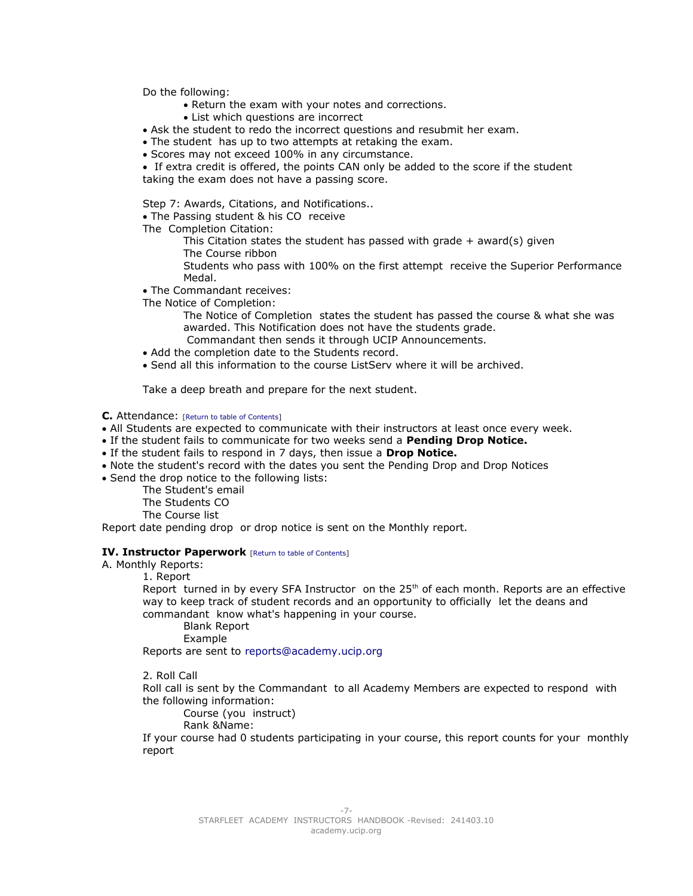Do the following:

- Return the exam with your notes and corrections.
- List which questions are incorrect
- Ask the student to redo the incorrect questions and resubmit her exam.
- The student has up to two attempts at retaking the exam.
- Scores may not exceed 100% in any circumstance.
- If extra credit is offered, the points CAN only be added to the score if the student taking the exam does not have a passing score.

<span id="page-6-3"></span>Step 7: Awards, Citations, and Notifications..

• The Passing student & his CO receive

The Completion Citation:

This Citation states the student has passed with grade  $+$  award(s) given The Course ribbon

Students who pass with 100% on the first attempt receive the Superior Performance Medal.

• The Commandant receives:

The Notice of Completion:

- The Notice of Completion states the student has passed the course & what she was awarded. This Notification does not have the students grade. Commandant then sends it through UCIP Announcements.
- Add the completion date to the Students record.
- Send all this information to the course ListServ where it will be archived.

Take a deep breath and prepare for the next student.

## <span id="page-6-2"></span>**C.** Attendance: [\[Return to table of Contents\]](#page-3-2)

- All Students are expected to communicate with their instructors at least once every week.
- If the student fails to communicate for two weeks send a **Pending Drop Notice.**
- If the student fails to respond in 7 days, then issue a **Drop Notice.**
- Note the student's record with the dates you sent the Pending Drop and Drop Notices
- Send the drop notice to the following lists:

The Student's email The Students CO The Course list

Report date pending drop or drop notice is sent on the Monthly report.

## **IV. Instructor Paperwork** [\[Return to table of Contents\]](#page-3-2)

<span id="page-6-0"></span>A. Monthly Reports:

1. Report

Report turned in by every SFA Instructor on the  $25<sup>th</sup>$  of each month. Reports are an effective way to keep track of student records and an opportunity to officially let the deans and commandant know what's happening in your course.

Blank Report

Example

Reports are sent to [reports@academy.ucip.org](mailto:reports@academy.ucip.org)

<span id="page-6-1"></span>2. Roll Call

Roll call is sent by the Commandant to all Academy Members are expected to respond with the following information:

Course (you instruct)

Rank &Name:

If your course had 0 students participating in your course, this report counts for your monthly report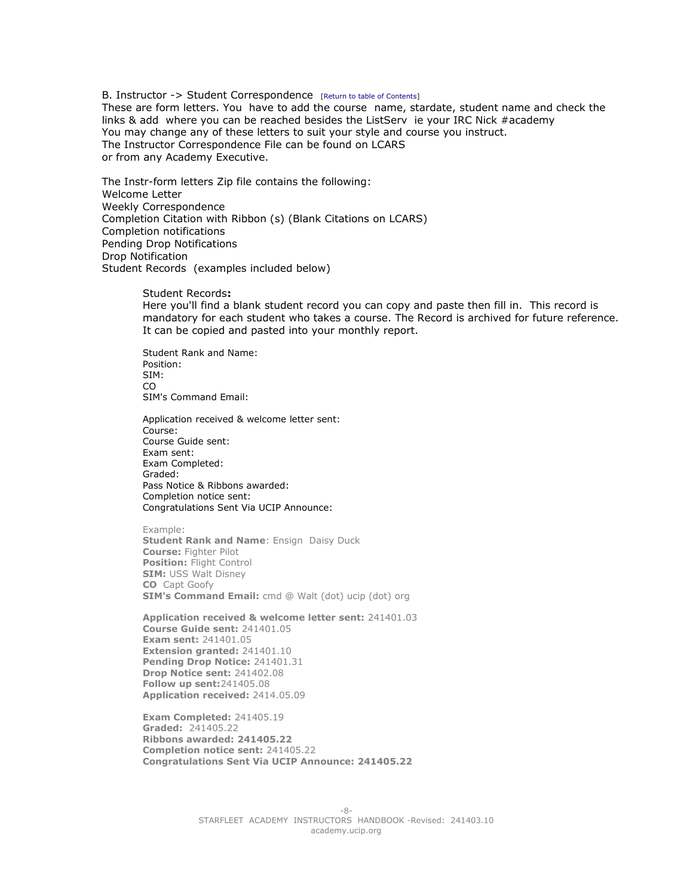<span id="page-7-0"></span>B. Instructor -> Student Correspondence [\[Return to table of Contents\]](#page-3-2) These are form letters. You have to add the course name, stardate, student name and check the links & add where you can be reached besides the ListServ ie your IRC Nick #academy You may change any of these letters to suit your style and course you instruct. The Instructor Correspondence File can be found on LCARS or from any Academy Executive.

The Instr-form letters Zip file contains the following: Welcome Letter Weekly Correspondence Completion Citation with Ribbon (s) (Blank Citations on LCARS) Completion notifications Pending Drop Notifications Drop Notification Student Records (examples included below)

Student Records**:**

Here you'll find a blank student record you can copy and paste then fill in. This record is mandatory for each student who takes a course. The Record is archived for future reference. It can be copied and pasted into your monthly report.

Student Rank and Name: Position: SIM: CO SIM's Command Email:

Application received & welcome letter sent: Course: Course Guide sent: Exam sent: Exam Completed: Graded: Pass Notice & Ribbons awarded: Completion notice sent: Congratulations Sent Via UCIP Announce:

Example: **Student Rank and Name: Ensign Daisy Duck Course:** Fighter Pilot **Position:** Flight Control **SIM:** USS Walt Disney **CO** Capt Goofy **SIM's Command Email:** cmd @ Walt (dot) ucip (dot) org

**Application received & welcome letter sent:** 241401.03 **Course Guide sent:** 241401.05 **Exam sent:** 241401.05 **Extension granted:** 241401.10 **Pending Drop Notice:** 241401.31 **Drop Notice sent:** 241402.08 **Follow up sent:**241405.08 **Application received:** 2414.05.09

**Exam Completed:** 241405.19 **Graded:** 241405.22 **Ribbons awarded: 241405.22 Completion notice sent:** 241405.22 **Congratulations Sent Via UCIP Announce: 241405.22**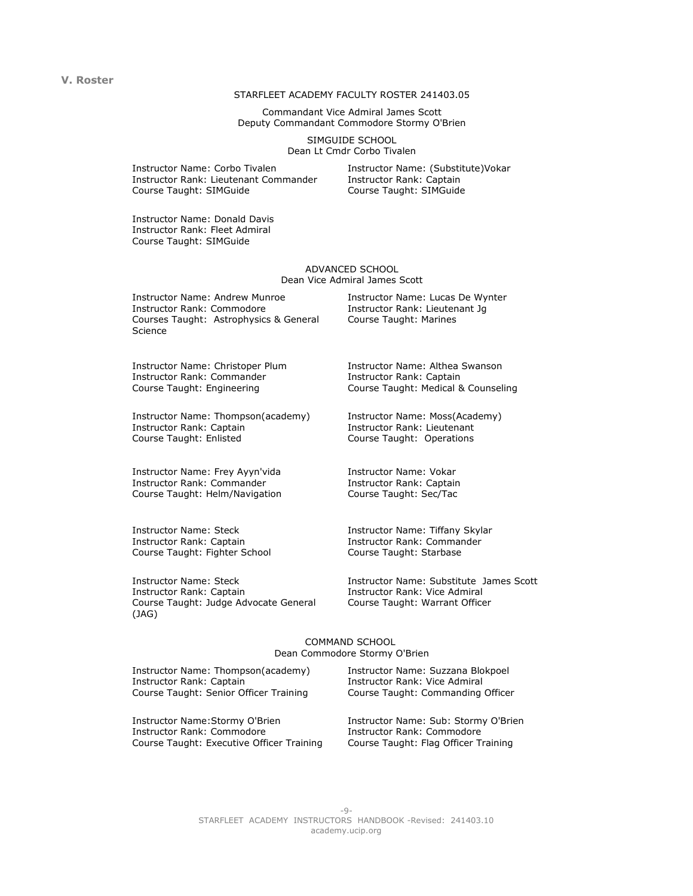#### **V. Roster**

#### STARFLEET ACADEMY FACULTY ROSTER 241403.05

Commandant Vice Admiral James Scott Deputy Commandant Commodore Stormy O'Brien

> <span id="page-8-0"></span>SIMGUIDE SCHOOL Dean Lt Cmdr Corbo Tivalen

Instructor Name: Corbo Tivalen Instructor Rank: Lieutenant Commander Course Taught: SIMGuide

Instructor Name: (Substitute)Vokar Instructor Rank: Captain Course Taught: SIMGuide

Instructor Name: Donald Davis Instructor Rank: Fleet Admiral Course Taught: SIMGuide

#### ADVANCED SCHOOL Dean Vice Admiral James Scott

Instructor Name: Andrew Munroe Instructor Rank: Commodore Courses Taught: Astrophysics & General Science

Instructor Name: Christoper Plum Instructor Rank: Commander Course Taught: Engineering

Instructor Name: Thompson(academy) Instructor Rank: Captain Course Taught: Enlisted

Instructor Name: Frey Ayyn'vida Instructor Rank: Commander Course Taught: Helm/Navigation

Instructor Name: Steck Instructor Rank: Captain Course Taught: Fighter School

Instructor Name: Steck Instructor Rank: Captain Course Taught: Judge Advocate General (JAG)

Instructor Name: Lucas De Wynter Instructor Rank: Lieutenant Jg Course Taught: Marines

Instructor Name: Althea Swanson Instructor Rank: Captain Course Taught: Medical & Counseling

Instructor Name: Moss(Academy) Instructor Rank: Lieutenant Course Taught: Operations

Instructor Name: Vokar Instructor Rank: Captain Course Taught: Sec/Tac

Instructor Name: Tiffany Skylar Instructor Rank: Commander Course Taught: Starbase

Instructor Name: Substitute James Scott Instructor Rank: Vice Admiral Course Taught: Warrant Officer

#### COMMAND SCHOOL Dean Commodore Stormy O'Brien

| Instructor Name: Thompson(academy)        | Instructor Name: Suzzana Blokpoel    |
|-------------------------------------------|--------------------------------------|
| Instructor Rank: Captain                  | <b>Instructor Rank: Vice Admiral</b> |
| Course Taught: Senior Officer Training    | Course Taught: Commanding Officer    |
| Instructor Name: Stormy O'Brien           | Instructor Name: Sub: Stormy O'Brien |
| Instructor Rank: Commodore                | Instructor Rank: Commodore           |
| Course Taught: Executive Officer Training | Course Taught: Flag Officer Training |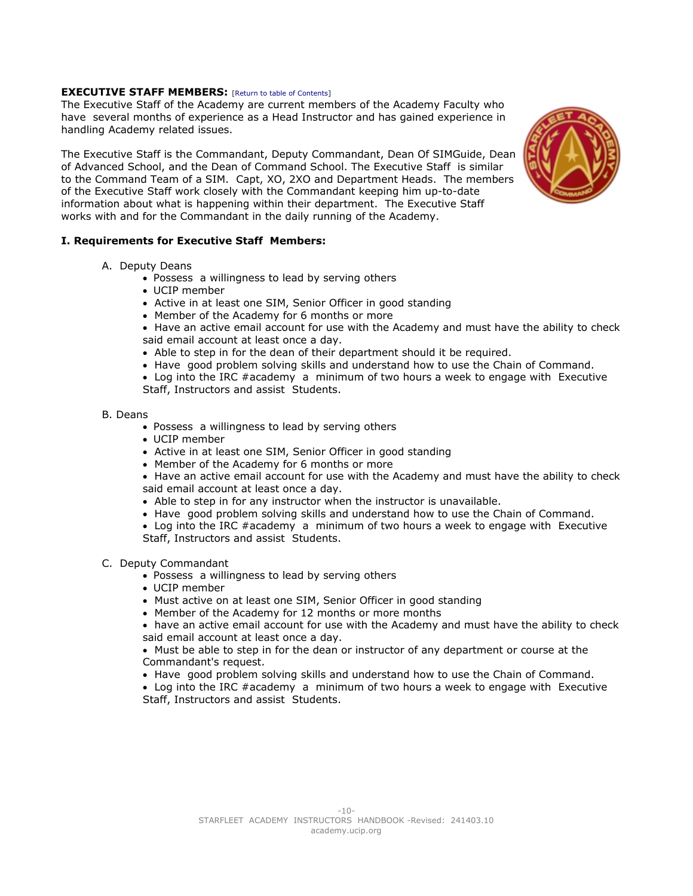## <span id="page-9-3"></span>**EXECUTIVE STAFF MEMBERS:** [\[Return to table of Contents\]](#page-3-2)

The Executive Staff of the Academy are current members of the Academy Faculty who have several months of experience as a Head Instructor and has gained experience in handling Academy related issues.

The Executive Staff is the Commandant, Deputy Commandant, Dean Of SIMGuide, Dean of Advanced School, and the Dean of Command School. The Executive Staff is similar to the Command Team of a SIM. Capt, XO, 2XO and Department Heads. The members of the Executive Staff work closely with the Commandant keeping him up-to-date information about what is happening within their department. The Executive Staff works with and for the Commandant in the daily running of the Academy.

## **I. Requirements for Executive Staff Members:**

- A. Deputy Deans
	- Possess a willingness to lead by serving others
	- UCIP member
	- Active in at least one SIM, Senior Officer in good standing
	- Member of the Academy for 6 months or more
	- Have an active email account for use with the Academy and must have the ability to check said email account at least once a day.
	- Able to step in for the dean of their department should it be required.
	- Have good problem solving skills and understand how to use the Chain of Command.
	- Log into the IRC #academy a minimum of two hours a week to engage with Executive Staff, Instructors and assist Students.
- <span id="page-9-1"></span>B. Deans
	- Possess a willingness to lead by serving others
	- UCIP member
	- Active in at least one SIM, Senior Officer in good standing
	- Member of the Academy for 6 months or more
	- Have an active email account for use with the Academy and must have the ability to check said email account at least once a day.
	- Able to step in for any instructor when the instructor is unavailable.
	- Have good problem solving skills and understand how to use the Chain of Command.
	- Log into the IRC #academy a minimum of two hours a week to engage with Executive Staff, Instructors and assist Students.

## C. Deputy Commandant

- Possess a willingness to lead by serving others
- <span id="page-9-2"></span>UCIP member
- Must active on at least one SIM, Senior Officer in good standing
- Member of the Academy for 12 months or more months
- have an active email account for use with the Academy and must have the ability to check said email account at least once a day.
- Must be able to step in for the dean or instructor of any department or course at the Commandant's request.
- Have good problem solving skills and understand how to use the Chain of Command.

• Log into the IRC #academy a minimum of two hours a week to engage with Executive Staff, Instructors and assist Students.

<span id="page-9-0"></span>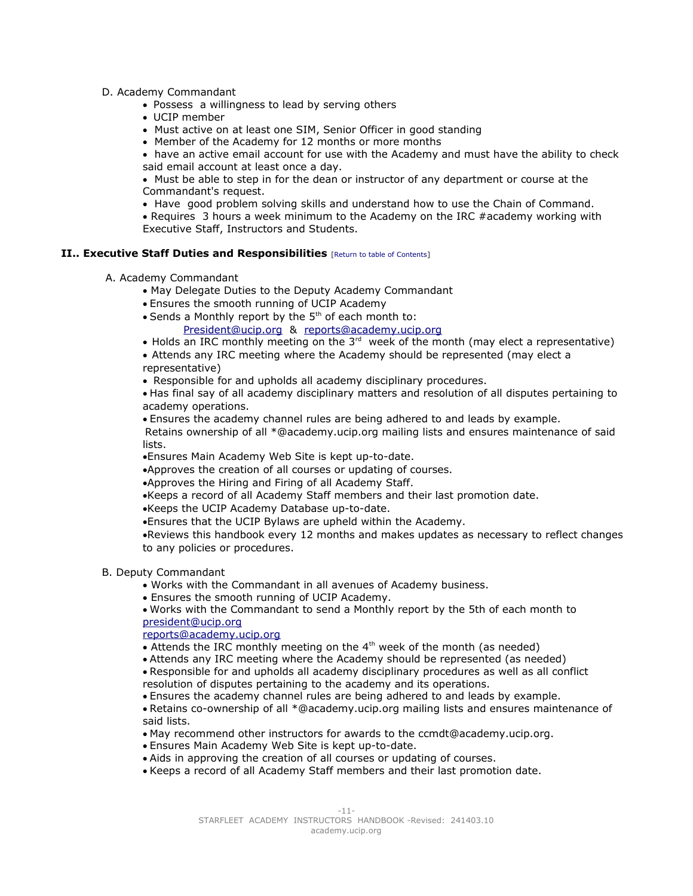- D. Academy Commandant
	- Possess a willingness to lead by serving others
	- UCIP member
	- Must active on at least one SIM, Senior Officer in good standing
	- Member of the Academy for 12 months or more months

<span id="page-10-0"></span> have an active email account for use with the Academy and must have the ability to check said email account at least once a day.

 Must be able to step in for the dean or instructor of any department or course at the Commandant's request.

• Have good problem solving skills and understand how to use the Chain of Command.

 Requires 3 hours a week minimum to the Academy on the IRC #academy working with Executive Staff, Instructors and Students.

## **II.. Executive Staff Duties and Responsibilities** [\[Return to table of Contents\]](#page-3-2)

- <span id="page-10-1"></span> A. Academy Commandant
	- May Delegate Duties to the Deputy Academy Commandant
	- Ensures the smooth running of UCIP Academy
	- Sends a Monthly report by the 5<sup>th</sup> of each month to:
		- [President@ucip.org](mailto:President@ucip.org) & [reports@academy.ucip.org](mailto:reports@academy.ucip.org)
	- $\bullet$  Holds an IRC monthly meeting on the 3<sup>rd</sup> week of the month (may elect a representative)

 Attends any IRC meeting where the Academy should be represented (may elect a representative)

Responsible for and upholds all academy disciplinary procedures.

 Has final say of all academy disciplinary matters and resolution of all disputes pertaining to academy operations.

 Ensures the academy channel rules are being adhered to and leads by example. Retains ownership of all \*@academy.ucip.org mailing lists and ensures maintenance of said lists.

Ensures Main Academy Web Site is kept up-to-date.

Approves the creation of all courses or updating of courses.

Approves the Hiring and Firing of all Academy Staff.

Keeps a record of all Academy Staff members and their last promotion date.

Keeps the UCIP Academy Database up-to-date.

Ensures that the UCIP Bylaws are upheld within the Academy.

•Reviews this handbook every 12 months and makes updates as necessary to reflect changes to any policies or procedures.

<span id="page-10-2"></span>B. Deputy Commandant

Works with the Commandant in all avenues of Academy business.

Ensures the smooth running of UCIP Academy.

Works with the Commandant to send a Monthly report by the 5th of each month to [president@ucip.org](mailto:president@ucip.org)

[reports@academy.ucip.org](mailto:reports@academy.ucip.org)

 $\bullet$  Attends the IRC monthly meeting on the 4<sup>th</sup> week of the month (as needed)

Attends any IRC meeting where the Academy should be represented (as needed) Responsible for and upholds all academy disciplinary procedures as well as all conflict resolution of disputes pertaining to the academy and its operations.

Ensures the academy channel rules are being adhered to and leads by example.

Retains co-ownership of all \*@academy.ucip.org mailing lists and ensures maintenance of said lists.

- May recommend other instructors for awards to the ccmdt@academy.ucip.org.
- Ensures Main Academy Web Site is kept up-to-date.
- Aids in approving the creation of all courses or updating of courses.
- Keeps a record of all Academy Staff members and their last promotion date.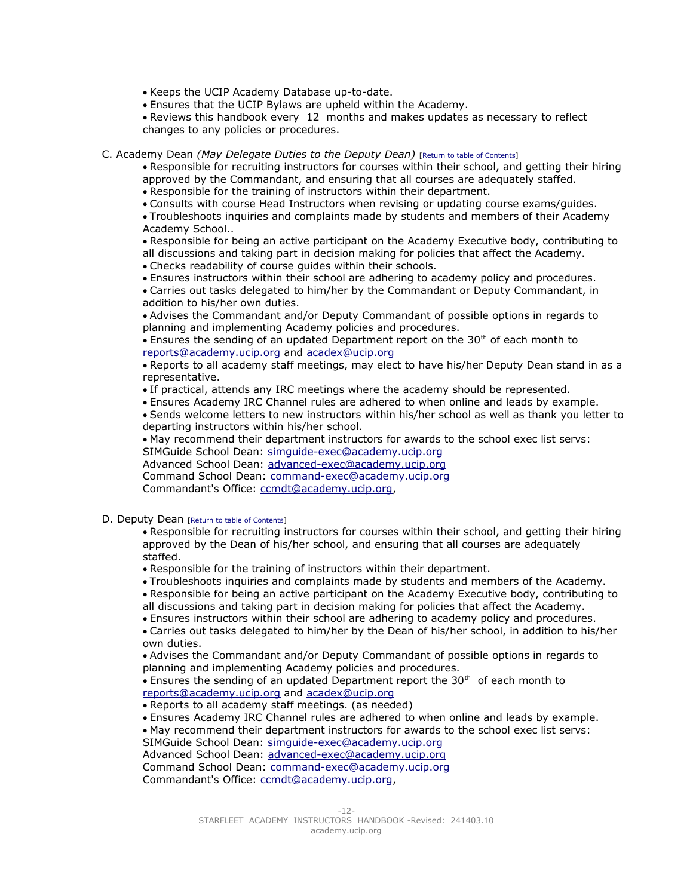Keeps the UCIP Academy Database up-to-date.

Ensures that the UCIP Bylaws are upheld within the Academy.

Reviews this handbook every 12 months and makes updates as necessary to reflect changes to any policies or procedures.

## <span id="page-11-0"></span>C. Academy Dean *(May Delegate Duties to the Deputy Dean)* [\[Return to table of Contents\]](#page-3-2)

Responsible for recruiting instructors for courses within their school, and getting their hiring approved by the Commandant, and ensuring that all courses are adequately staffed.

Responsible for the training of instructors within their department.

Consults with course Head Instructors when revising or updating course exams/guides.

Troubleshoots inquiries and complaints made by students and members of their Academy Academy School..

Responsible for being an active participant on the Academy Executive body, contributing to all discussions and taking part in decision making for policies that affect the Academy.

Checks readability of course guides within their schools.

Ensures instructors within their school are adhering to academy policy and procedures.

Carries out tasks delegated to him/her by the Commandant or Deputy Commandant, in addition to his/her own duties.

Advises the Commandant and/or Deputy Commandant of possible options in regards to planning and implementing Academy policies and procedures.

 $\bullet$  Ensures the sending of an updated Department report on the 30<sup>th</sup> of each month to [reports@academy.ucip.org](mailto:reports@academy.ucip.org) and [acadex@ucip.org](mailto:acadex@ucip.org)

Reports to all academy staff meetings, may elect to have his/her Deputy Dean stand in as a representative.

If practical, attends any IRC meetings where the academy should be represented.

Ensures Academy IRC Channel rules are adhered to when online and leads by example.

Sends welcome letters to new instructors within his/her school as well as thank you letter to departing instructors within his/her school.

May recommend their department instructors for awards to the school exec list servs:

SIMGuide School Dean: [simguide-exec@academy.ucip.org](mailto:simguide-exec@academy.ucip.org)

Advanced School Dean: [advanced-exec@academy.ucip.org](mailto:advanced-exec@academy.ucip.org)

Command School Dean: [command-exec@academy.ucip.org](mailto:command-exec@academy.ucip.org)

Commandant's Office: [ccmdt@academy.ucip.org,](mailto:ccmdt@academy.ucip.org)

<span id="page-11-1"></span>D. Deputy Dean [\[Return to table of Contents\]](#page-3-2)

Responsible for recruiting instructors for courses within their school, and getting their hiring approved by the Dean of his/her school, and ensuring that all courses are adequately staffed.

Responsible for the training of instructors within their department.

Troubleshoots inquiries and complaints made by students and members of the Academy.

Responsible for being an active participant on the Academy Executive body, contributing to

all discussions and taking part in decision making for policies that affect the Academy.

Ensures instructors within their school are adhering to academy policy and procedures.

Carries out tasks delegated to him/her by the Dean of his/her school, in addition to his/her own duties.

Advises the Commandant and/or Deputy Commandant of possible options in regards to planning and implementing Academy policies and procedures.

• Ensures the sending of an updated Department report the 30<sup>th</sup> of each month to [reports@academy.ucip.org](mailto:reports@academy.ucip.org) and [acadex@ucip.org](mailto:acadex@ucip.org)

Reports to all academy staff meetings. (as needed)

Ensures Academy IRC Channel rules are adhered to when online and leads by example.

May recommend their department instructors for awards to the school exec list servs:

SIMGuide School Dean: [simguide-exec@academy.ucip.org](mailto:simguide-exec@academy.ucip.org) Advanced School Dean: [advanced-exec@academy.ucip.org](mailto:advanced-exec@academy.ucip.org)

Command School Dean: [command-exec@academy.ucip.org](mailto:command-exec@academy.ucip.org) Commandant's Office: [ccmdt@academy.ucip.org,](mailto:ccmdt@academy.ucip.org)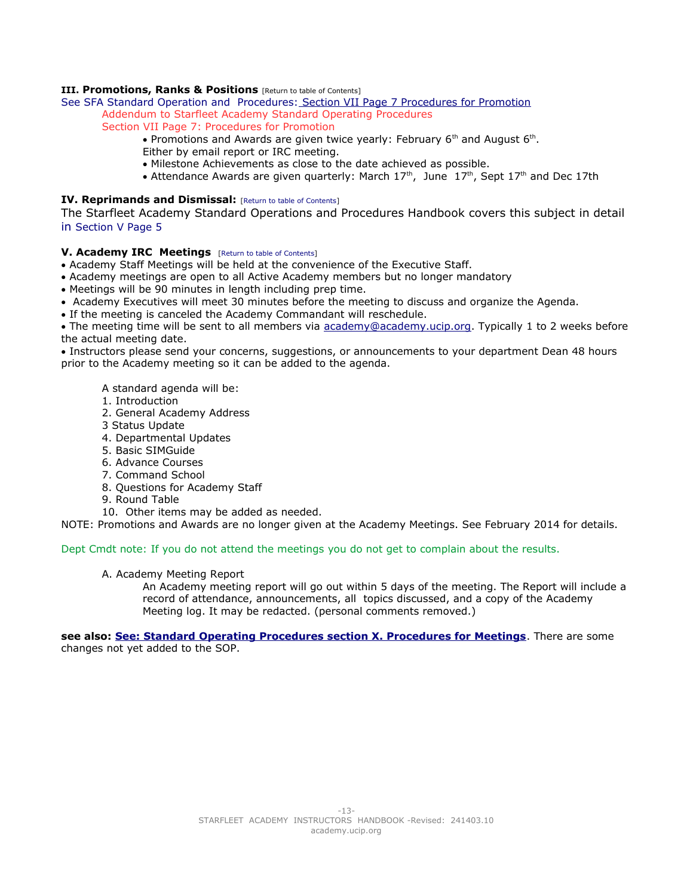## **III. Promotions, Ranks & Positions** [\[Return to table of Contents\]](#page-3-2)

[See SFA Standard Operation and Procedures: Section VII Page 7 Procedures for Promotion](http://lcars.ucip.org/index.php?title=Starfleet_Academy) Addendum to Starfleet Academy Standard Operating Procedures

- <span id="page-12-2"></span>Section VII Page 7: Procedures for Promotion
	- Promotions and Awards are given twice yearly: February 6<sup>th</sup> and August 6<sup>th</sup>.
	- Either by email report or IRC meeting.
	- Milestone Achievements as close to the date achieved as possible.
	- Attendance Awards are given quarterly: March  $17<sup>th</sup>$ , June  $17<sup>th</sup>$ , Sept  $17<sup>th</sup>$  and Dec 17th

## <span id="page-12-1"></span>**IV. Reprimands and Dismissal:** [\[Return to table of Contents\]](#page-3-2)

The Starfleet Academy Standard Operations and Procedures Handbook covers this subject in detail in [Section V Page 5](http://lcars.ucip.org/index.php?title=Starfleet_Academy)

## <span id="page-12-0"></span>**V. Academy IRC Meetings** [\[Return to table of Contents\]](#page-3-2)

- Academy Staff Meetings will be held at the convenience of the Executive Staff.
- Academy meetings are open to all Active Academy members but no longer mandatory
- Meetings will be 90 minutes in length including prep time.
- Academy Executives will meet 30 minutes before the meeting to discuss and organize the Agenda.
- If the meeting is canceled the Academy Commandant will reschedule.

• The meeting time will be sent to all members via [academy@academy.ucip.org.](mailto:academy@academy.ucip.org) Typically 1 to 2 weeks before the actual meeting date.

 Instructors please send your concerns, suggestions, or announcements to your department Dean 48 hours prior to the Academy meeting so it can be added to the agenda.

A standard agenda will be:

- 1. Introduction
- 2. General Academy Address
- 3 Status Update
- 4. Departmental Updates
- 5. Basic SIMGuide
- 6. Advance Courses
- 7. Command School
- 8. Questions for Academy Staff
- 9. Round Table
- 10. Other items may be added as needed.

NOTE: Promotions and Awards are no longer given at the Academy Meetings. See February 2014 for details.

### Dept Cmdt note: If you do not attend the meetings you do not get to complain about the results.

### A. Academy Meeting Report

An Academy meeting report will go out within 5 days of the meeting. The Report will include a record of attendance, announcements, all topics discussed, and a copy of the Academy Meeting log. It may be redacted. (personal comments removed.)

**see also: [See: Standard Operating Procedures section X. Procedures for Meetings](http://lcars.ucip.org/index.php?title=Starfleet_Academy)**. There are some changes not yet added to the SOP.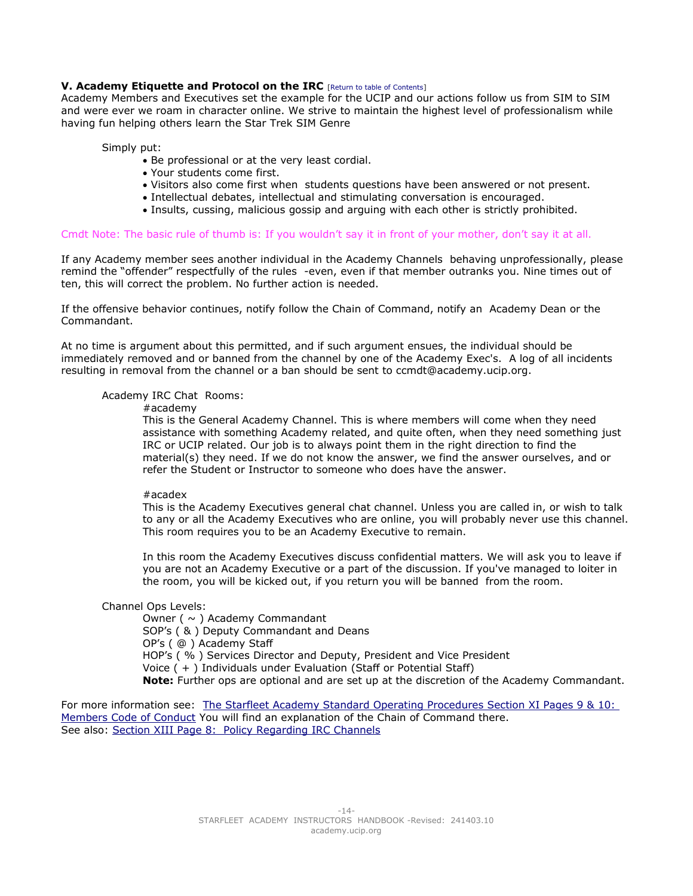## <span id="page-13-0"></span>**V. Academy Etiquette and Protocol on the IRC** [\[Return to table of Contents\]](#page-3-2)

Academy Members and Executives set the example for the UCIP and our actions follow us from SIM to SIM and were ever we roam in character online. We strive to maintain the highest level of professionalism while having fun helping others learn the Star Trek SIM Genre

Simply put:

- Be professional or at the very least cordial.
- Your students come first.
- Visitors also come first when students questions have been answered or not present.
- Intellectual debates, intellectual and stimulating conversation is encouraged.
- Insults, cussing, malicious gossip and arguing with each other is strictly prohibited.

#### Cmdt Note: The basic rule of thumb is: If you wouldn't say it in front of your mother, don't say it at all.

If any Academy member sees another individual in the Academy Channels behaving unprofessionally, please remind the "offender" respectfully of the rules -even, even if that member outranks you. Nine times out of ten, this will correct the problem. No further action is needed.

If the offensive behavior continues, notify follow the Chain of Command, notify an Academy Dean or the Commandant.

At no time is argument about this permitted, and if such argument ensues, the individual should be immediately removed and or banned from the channel by one of the Academy Exec's. A log of all incidents resulting in removal from the channel or a ban should be sent to ccmdt@academy.ucip.org.

## Academy IRC Chat Rooms:

#academy

This is the General Academy Channel. This is where members will come when they need assistance with something Academy related, and quite often, when they need something just IRC or UCIP related. Our job is to always point them in the right direction to find the material(s) they need. If we do not know the answer, we find the answer ourselves, and or refer the Student or Instructor to someone who does have the answer.

#### #acadex

This is the Academy Executives general chat channel. Unless you are called in, or wish to talk to any or all the Academy Executives who are online, you will probably never use this channel. This room requires you to be an Academy Executive to remain.

In this room the Academy Executives discuss confidential matters. We will ask you to leave if you are not an Academy Executive or a part of the discussion. If you've managed to loiter in the room, you will be kicked out, if you return you will be banned from the room.

## Channel Ops Levels:

Owner ( $\sim$ ) Academy Commandant SOP's ( & ) Deputy Commandant and Deans OP's ( @ ) Academy Staff HOP's ( % ) Services Director and Deputy, President and Vice President Voice ( + ) Individuals under Evaluation (Staff or Potential Staff) **Note:** Further ops are optional and are set up at the discretion of the Academy Commandant.

For more information see: The Starfleet Academy Standard Operating Procedures Section XI Pages 9 & 10: [Members Code of Conduct](http://lcars.ucip.org/index.php?title=Starfleet_Academy) You will find an explanation of the Chain of Command there. See also: [Section XIII Page 8: Policy Regarding IRC Channels](http://lcars.ucip.org/index.php?title=Starfleet_Academy)